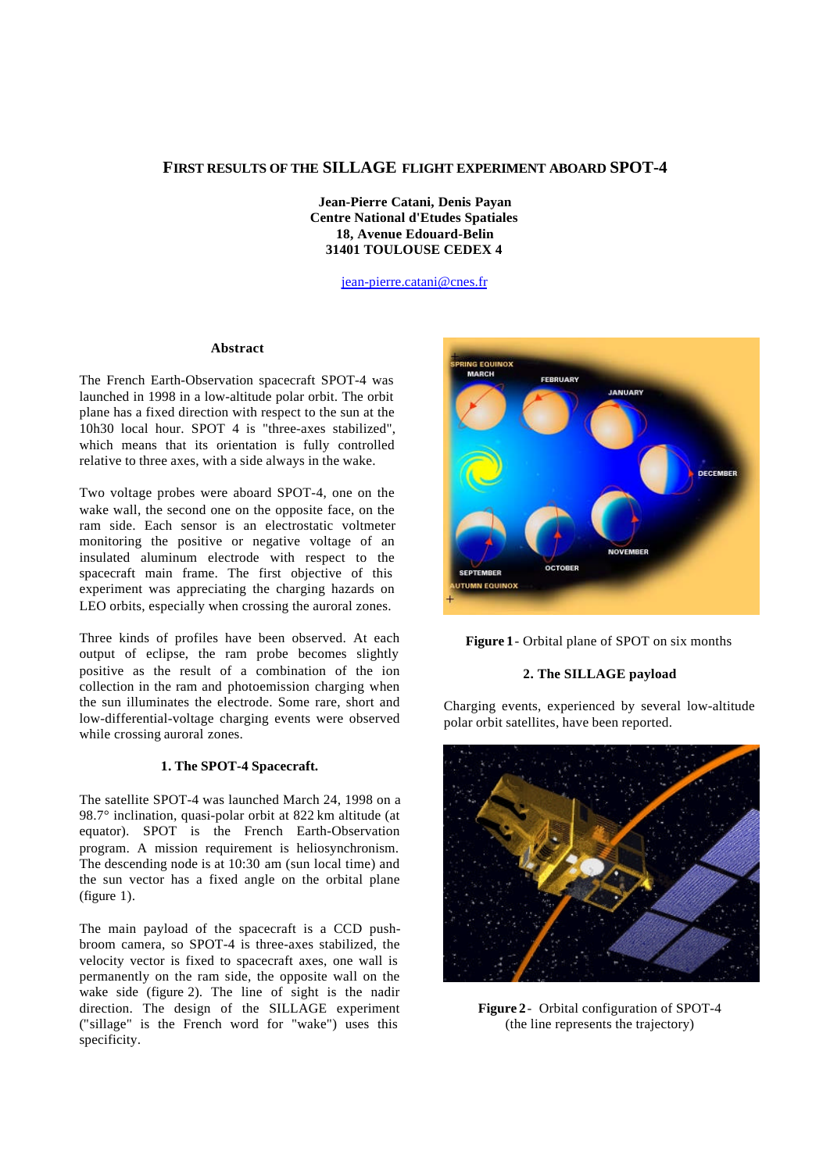# **FIRST RESULTS OF THE SILLAGE FLIGHT EXPERIMENT ABOARD SPOT-4**

**Jean-Pierre Catani, Denis Payan Centre National d'Etudes Spatiales 18, Avenue Edouard-Belin 31401 TOULOUSE CEDEX 4**

jean-pierre.catani@cnes.fr

### **Abstract**

The French Earth-Observation spacecraft SPOT-4 was launched in 1998 in a low-altitude polar orbit. The orbit plane has a fixed direction with respect to the sun at the 10h30 local hour. SPOT 4 is "three-axes stabilized", which means that its orientation is fully controlled relative to three axes, with a side always in the wake.

Two voltage probes were aboard SPOT-4, one on the wake wall, the second one on the opposite face, on the ram side. Each sensor is an electrostatic voltmeter monitoring the positive or negative voltage of an insulated aluminum electrode with respect to the spacecraft main frame. The first objective of this experiment was appreciating the charging hazards on LEO orbits, especially when crossing the auroral zones.

Three kinds of profiles have been observed. At each output of eclipse, the ram probe becomes slightly positive as the result of a combination of the ion collection in the ram and photoemission charging when the sun illuminates the electrode. Some rare, short and low-differential-voltage charging events were observed while crossing auroral zones.

## **1. The SPOT-4 Spacecraft.**

The satellite SPOT-4 was launched March 24, 1998 on a 98.7° inclination, quasi-polar orbit at 822 km altitude (at equator). SPOT is the French Earth-Observation program. A mission requirement is heliosynchronism. The descending node is at 10:30 am (sun local time) and the sun vector has a fixed angle on the orbital plane (figure 1).

The main payload of the spacecraft is a CCD pushbroom camera, so SPOT-4 is three-axes stabilized, the velocity vector is fixed to spacecraft axes, one wall is permanently on the ram side, the opposite wall on the wake side (figure 2). The line of sight is the nadir direction. The design of the SILLAGE experiment ("sillage" is the French word for "wake") uses this specificity.





# **2. The SILLAGE payload**

Charging events, experienced by several low-altitude polar orbit satellites, have been reported.



**Figure 2**- Orbital configuration of SPOT-4 (the line represents the trajectory)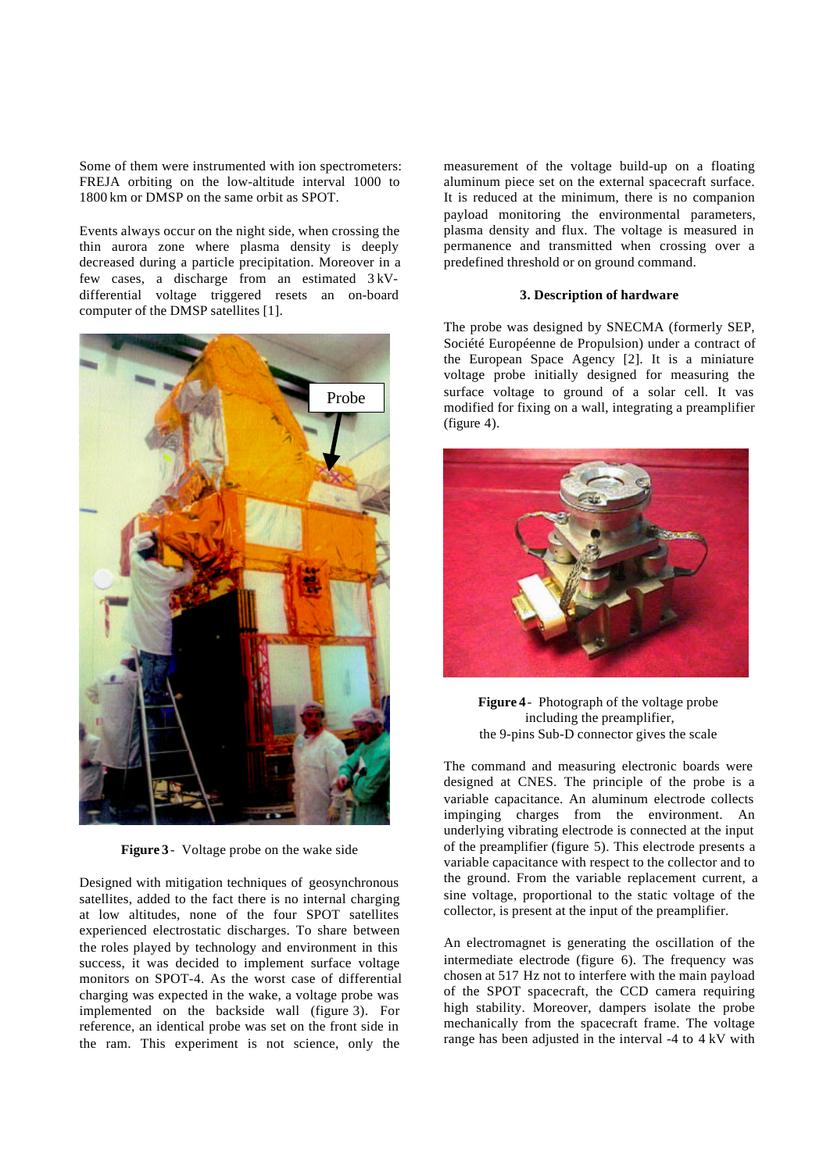Some of them were instrumented with ion spectrometers: FREJA orbiting on the low-altitude interval 1000 to 1800 km or DMSP on the same orbit as SPOT.

Events always occur on the night side, when crossing the thin aurora zone where plasma density is deeply decreased during a particle precipitation. Moreover in a few cases, a discharge from an estimated 3 kVdifferential voltage triggered resets an on-board computer of the DMSP satellites [1].



**Figure 3**- Voltage probe on the wake side

Designed with mitigation techniques of geosynchronous satellites, added to the fact there is no internal charging at low altitudes, none of the four SPOT satellites experienced electrostatic discharges. To share between the roles played by technology and environment in this success, it was decided to implement surface voltage monitors on SPOT-4. As the worst case of differential charging was expected in the wake, a voltage probe was implemented on the backside wall (figure 3). For reference, an identical probe was set on the front side in the ram. This experiment is not science, only the

measurement of the voltage build-up on a floating aluminum piece set on the external spacecraft surface. It is reduced at the minimum, there is no companion payload monitoring the environmental parameters, plasma density and flux. The voltage is measured in permanence and transmitted when crossing over a predefined threshold or on ground command.

### **3. Description of hardware**

The probe was designed by SNECMA (formerly SEP, Société Européenne de Propulsion) under a contract of the European Space Agency [2]. It is a miniature voltage probe initially designed for measuring the surface voltage to ground of a solar cell. It vas modified for fixing on a wall, integrating a preamplifier (figure 4).



**Figure 4**- Photograph of the voltage probe including the preamplifier, the 9-pins Sub-D connector gives the scale

The command and measuring electronic boards were designed at CNES. The principle of the probe is a variable capacitance. An aluminum electrode collects impinging charges from the environment. An underlying vibrating electrode is connected at the input of the preamplifier (figure 5). This electrode presents a variable capacitance with respect to the collector and to the ground. From the variable replacement current, a sine voltage, proportional to the static voltage of the collector, is present at the input of the preamplifier.

An electromagnet is generating the oscillation of the intermediate electrode (figure 6). The frequency was chosen at 517 Hz not to interfere with the main payload of the SPOT spacecraft, the CCD camera requiring high stability. Moreover, dampers isolate the probe mechanically from the spacecraft frame. The voltage range has been adjusted in the interval -4 to 4 kV with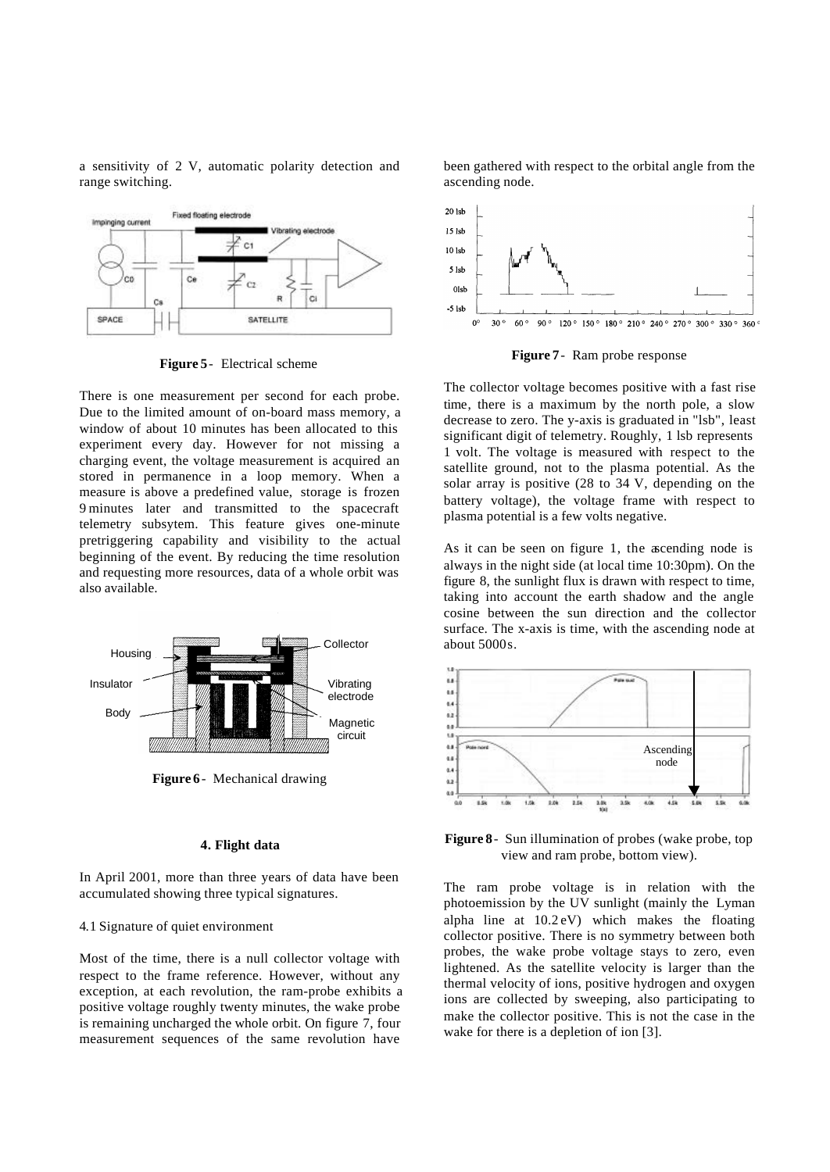a sensitivity of 2 V, automatic polarity detection and range switching.



**Figure 5**- Electrical scheme

There is one measurement per second for each probe. Due to the limited amount of on-board mass memory, a window of about 10 minutes has been allocated to this experiment every day. However for not missing a charging event, the voltage measurement is acquired an stored in permanence in a loop memory. When a measure is above a predefined value, storage is frozen 9 minutes later and transmitted to the spacecraft telemetry subsytem. This feature gives one-minute pretriggering capability and visibility to the actual beginning of the event. By reducing the time resolution and requesting more resources, data of a whole orbit was also available.



**Figure 6**- Mechanical drawing

## **4. Flight data**

In April 2001, more than three years of data have been accumulated showing three typical signatures.

# 4.1 Signature of quiet environment

Most of the time, there is a null collector voltage with respect to the frame reference. However, without any exception, at each revolution, the ram-probe exhibits a positive voltage roughly twenty minutes, the wake probe is remaining uncharged the whole orbit. On figure 7, four measurement sequences of the same revolution have

been gathered with respect to the orbital angle from the ascending node.



**Figure 7**- Ram probe response

The collector voltage becomes positive with a fast rise time, there is a maximum by the north pole, a slow decrease to zero. The y-axis is graduated in "lsb", least significant digit of telemetry. Roughly, 1 lsb represents 1 volt. The voltage is measured with respect to the satellite ground, not to the plasma potential. As the solar array is positive (28 to 34 V, depending on the battery voltage), the voltage frame with respect to plasma potential is a few volts negative.

As it can be seen on figure 1, the ascending node is always in the night side (at local time 10:30pm). On the figure 8, the sunlight flux is drawn with respect to time, taking into account the earth shadow and the angle cosine between the sun direction and the collector surface. The x-axis is time, with the ascending node at about 5000s.



**Figure 8**- Sun illumination of probes (wake probe, top view and ram probe, bottom view).

The ram probe voltage is in relation with the photoemission by the UV sunlight (mainly the Lyman alpha line at 10.2 eV) which makes the floating collector positive. There is no symmetry between both probes, the wake probe voltage stays to zero, even lightened. As the satellite velocity is larger than the thermal velocity of ions, positive hydrogen and oxygen ions are collected by sweeping, also participating to make the collector positive. This is not the case in the wake for there is a depletion of ion [3].